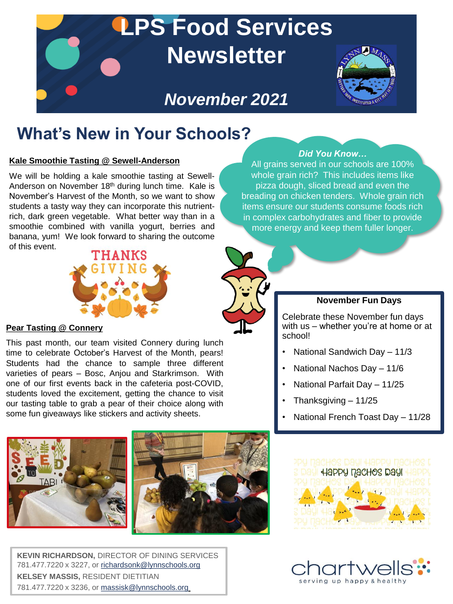

## **What's New in Your Schools?**

#### **Kale Smoothie Tasting @ Sewell-Anderson**

We will be holding a kale smoothie tasting at Sewell-Anderson on November 18<sup>th</sup> during lunch time. Kale is November's Harvest of the Month, so we want to show students a tasty way they can incorporate this nutrientrich, dark green vegetable. What better way than in a smoothie combined with vanilla yogurt, berries and banana, yum! We look forward to sharing the outcome of this event.



#### **Pear Tasting @ Connery**

This past month, our team visited Connery during lunch time to celebrate October's Harvest of the Month, pears! Students had the chance to sample three different varieties of pears – Bosc, Anjou and Starkrimson. With one of our first events back in the cafeteria post-COVID, students loved the excitement, getting the chance to visit our tasting table to grab a pear of their choice along with some fun giveaways like stickers and activity sheets.



**KEVIN RICHARDSON,** DIRECTOR OF DINING SERVICES 781.477.7220 x 3227, or [richardsonk@lynnschools.org](mailto:richardsonk@lynnschools.org) **KELSEY MASSIS,** RESIDENT DIETITIAN 781.477.7220 x 3236, or [massisk@lynnschools.org](mailto:massisk@lynnschools.org)

#### *Did You Know…*

All grains served in our schools are 100% whole grain rich? This includes items like pizza dough, sliced bread and even the breading on chicken tenders. Whole grain rich items ensure our students consume foods rich in complex carbohydrates and fiber to provide more energy and keep them fuller longer.



#### **November Fun Days**

Celebrate these November fun days with us – whether you're at home or at school!

- National Sandwich Day 11/3
- National Nachos Day 11/6
- National Parfait Day 11/25
- Thanksgiving 11/25
- National French Toast Day 11/28